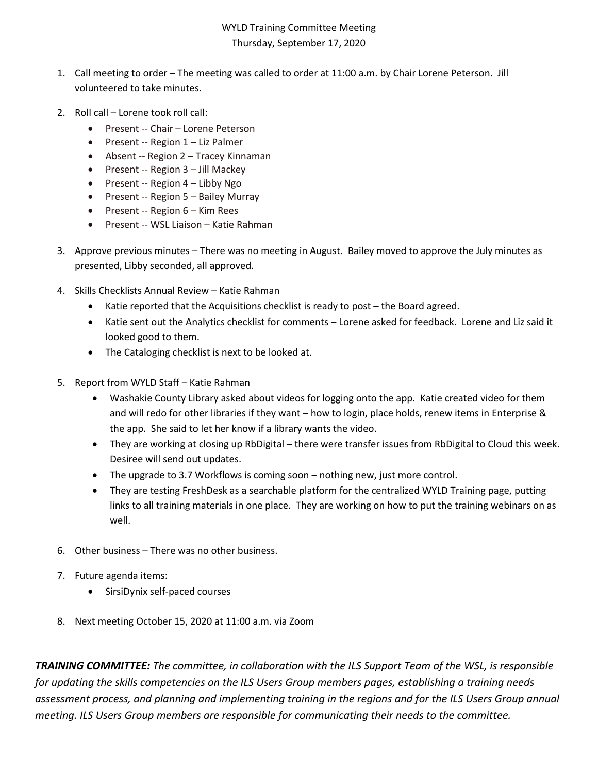## WYLD Training Committee Meeting Thursday, September 17, 2020

- 1. Call meeting to order The meeting was called to order at 11:00 a.m. by Chair Lorene Peterson. Jill volunteered to take minutes.
- 2. Roll call Lorene took roll call:
	- Present -- Chair Lorene Peterson
	- Present -- Region 1 Liz Palmer
	- Absent -- Region 2 Tracey Kinnaman
	- Present -- Region 3 Jill Mackey
	- Present -- Region 4 Libby Ngo
	- Present -- Region 5 Bailey Murray
	- Present -- Region 6 Kim Rees
	- Present -- WSL Liaison Katie Rahman
- 3. Approve previous minutes There was no meeting in August. Bailey moved to approve the July minutes as presented, Libby seconded, all approved.
- 4. Skills Checklists Annual Review Katie Rahman
	- Katie reported that the Acquisitions checklist is ready to post the Board agreed.
	- Katie sent out the Analytics checklist for comments Lorene asked for feedback. Lorene and Liz said it looked good to them.
	- The Cataloging checklist is next to be looked at.
- 5. Report from WYLD Staff Katie Rahman
	- Washakie County Library asked about videos for logging onto the app. Katie created video for them and will redo for other libraries if they want – how to login, place holds, renew items in Enterprise & the app. She said to let her know if a library wants the video.
	- They are working at closing up RbDigital there were transfer issues from RbDigital to Cloud this week. Desiree will send out updates.
	- The upgrade to 3.7 Workflows is coming soon nothing new, just more control.
	- They are testing FreshDesk as a searchable platform for the centralized WYLD Training page, putting links to all training materials in one place. They are working on how to put the training webinars on as well.
- 6. Other business There was no other business.
- 7. Future agenda items:
	- SirsiDynix self-paced courses
- 8. Next meeting October 15, 2020 at 11:00 a.m. via Zoom

*TRAINING COMMITTEE: The committee, in collaboration with the ILS Support Team of the WSL, is responsible for updating the skills competencies on the ILS Users Group members pages, establishing a training needs assessment process, and planning and implementing training in the regions and for the ILS Users Group annual meeting. ILS Users Group members are responsible for communicating their needs to the committee.*